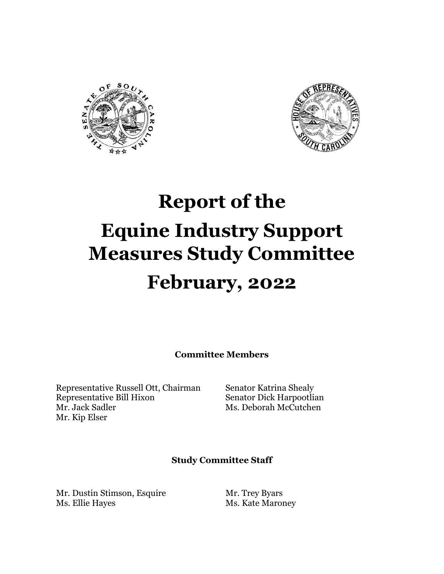



# **Report of the Equine Industry Support Measures Study Committee February, 2022**

**Committee Members** 

Representative Russell Ott, Chairman Senator Katrina Shealy Representative Bill Hixon Senator Dick Harpootlian Mr. Jack Sadler Ms. Deborah McCutchen Mr. Kip Elser

### **Study Committee Staff**

Mr. Dustin Stimson, Esquire Mr. Trey Byars Ms. Ellie Hayes Ms. Kate Maroney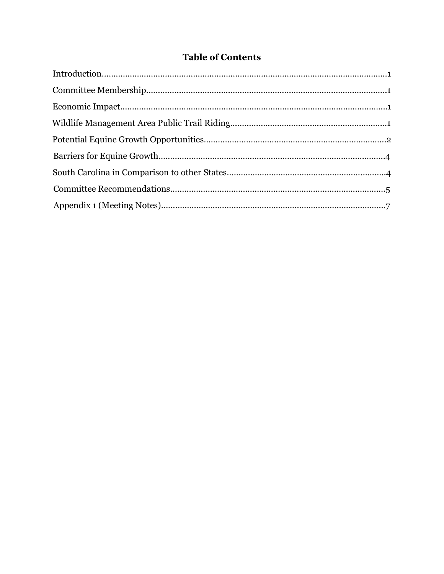# **Table of Contents**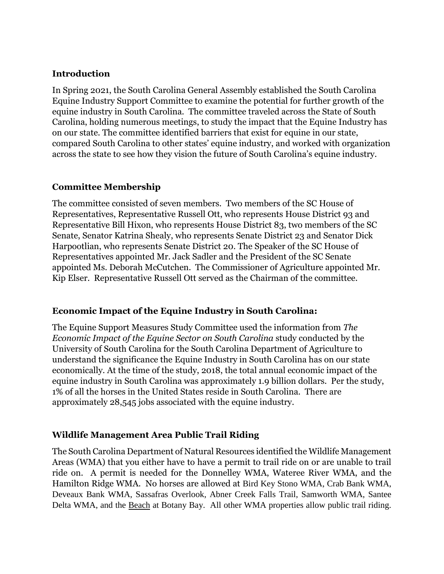# **Introduction**

In Spring 2021, the South Carolina General Assembly established the South Carolina Equine Industry Support Committee to examine the potential for further growth of the equine industry in South Carolina. The committee traveled across the State of South Carolina, holding numerous meetings, to study the impact that the Equine Industry has on our state. The committee identified barriers that exist for equine in our state, compared South Carolina to other states' equine industry, and worked with organization across the state to see how they vision the future of South Carolina's equine industry.

# **Committee Membership**

The committee consisted of seven members. Two members of the SC House of Representatives, Representative Russell Ott, who represents House District 93 and Representative Bill Hixon, who represents House District 83, two members of the SC Senate, Senator Katrina Shealy, who represents Senate District 23 and Senator Dick Harpootlian, who represents Senate District 20. The Speaker of the SC House of Representatives appointed Mr. Jack Sadler and the President of the SC Senate appointed Ms. Deborah McCutchen. The Commissioner of Agriculture appointed Mr. Kip Elser. Representative Russell Ott served as the Chairman of the committee.

# **Economic Impact of the Equine Industry in South Carolina:**

The Equine Support Measures Study Committee used the information from *The Economic Impact of the Equine Sector on South Carolina* study conducted by the University of South Carolina for the South Carolina Department of Agriculture to understand the significance the Equine Industry in South Carolina has on our state economically. At the time of the study, 2018, the total annual economic impact of the equine industry in South Carolina was approximately 1.9 billion dollars. Per the study, 1% of all the horses in the United States reside in South Carolina. There are approximately 28,545 jobs associated with the equine industry.

# **Wildlife Management Area Public Trail Riding**

The South Carolina Department of Natural Resources identified the Wildlife Management Areas (WMA) that you either have to have a permit to trail ride on or are unable to trail ride on. A permit is needed for the Donnelley WMA, Wateree River WMA, and the Hamilton Ridge WMA. No horses are allowed at Bird Key Stono WMA, Crab Bank WMA, Deveaux Bank WMA, Sassafras Overlook, Abner Creek Falls Trail, Samworth WMA, Santee Delta WMA, and the Beach at Botany Bay. All other WMA properties allow public trail riding.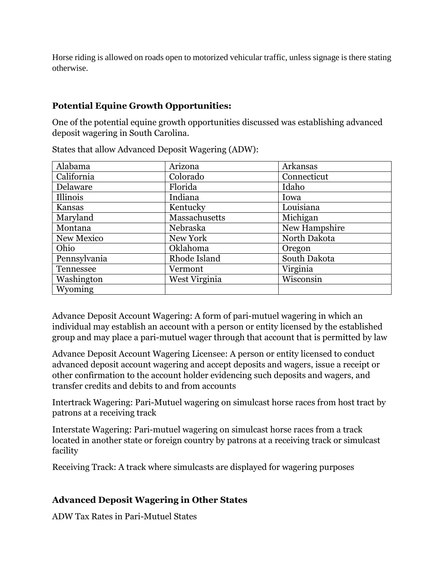Horse riding is allowed on roads open to motorized vehicular traffic, unless signage is there stating otherwise.

# **Potential Equine Growth Opportunities:**

One of the potential equine growth opportunities discussed was establishing advanced deposit wagering in South Carolina.

| Alabama      | Arizona       | Arkansas      |
|--------------|---------------|---------------|
|              |               |               |
| California   | Colorado      | Connecticut   |
| Delaware     | Florida       | Idaho         |
| Illinois     | Indiana       | Iowa          |
| Kansas       | Kentucky      | Louisiana     |
| Maryland     | Massachusetts | Michigan      |
| Montana      | Nebraska      | New Hampshire |
| New Mexico   | New York      | North Dakota  |
| Ohio         | Oklahoma      | Oregon        |
| Pennsylvania | Rhode Island  | South Dakota  |
| Tennessee    | Vermont       | Virginia      |
| Washington   | West Virginia | Wisconsin     |
| Wyoming      |               |               |

States that allow Advanced Deposit Wagering (ADW):

Advance Deposit Account Wagering: A form of pari-mutuel wagering in which an individual may establish an account with a person or entity licensed by the established group and may place a pari-mutuel wager through that account that is permitted by law

Advance Deposit Account Wagering Licensee: A person or entity licensed to conduct advanced deposit account wagering and accept deposits and wagers, issue a receipt or other confirmation to the account holder evidencing such deposits and wagers, and transfer credits and debits to and from accounts

Intertrack Wagering: Pari-Mutuel wagering on simulcast horse races from host tract by patrons at a receiving track

Interstate Wagering: Pari-mutuel wagering on simulcast horse races from a track located in another state or foreign country by patrons at a receiving track or simulcast facility

Receiving Track: A track where simulcasts are displayed for wagering purposes

# **Advanced Deposit Wagering in Other States**

ADW Tax Rates in Pari-Mutuel States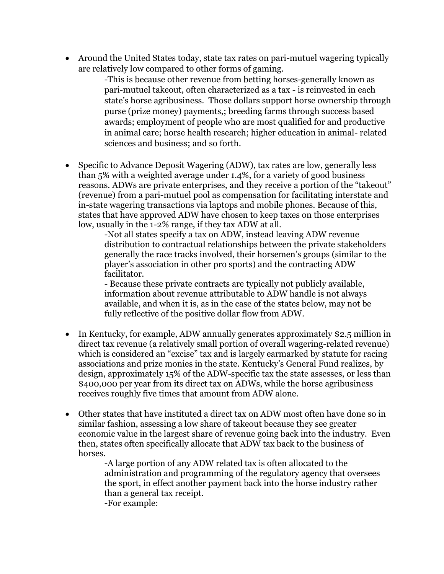Around the United States today, state tax rates on pari-mutuel wagering typically are relatively low compared to other forms of gaming.

-This is because other revenue from betting horses-generally known as pari-mutuel takeout, often characterized as a tax - is reinvested in each state's horse agribusiness. Those dollars support horse ownership through purse (prize money) payments,; breeding farms through success based awards; employment of people who are most qualified for and productive in animal care; horse health research; higher education in animal- related sciences and business; and so forth.

• Specific to Advance Deposit Wagering (ADW), tax rates are low, generally less than 5% with a weighted average under 1.4%, for a variety of good business reasons. ADWs are private enterprises, and they receive a portion of the "takeout" (revenue) from a pari-mutuel pool as compensation for facilitating interstate and in-state wagering transactions via laptops and mobile phones. Because of this, states that have approved ADW have chosen to keep taxes on those enterprises low, usually in the 1-2% range, if they tax ADW at all.

-Not all states specify a tax on ADW, instead leaving ADW revenue distribution to contractual relationships between the private stakeholders generally the race tracks involved, their horsemen's groups (similar to the player's association in other pro sports) and the contracting ADW facilitator.

- Because these private contracts are typically not publicly available, information about revenue attributable to ADW handle is not always available, and when it is, as in the case of the states below, may not be fully reflective of the positive dollar flow from ADW.

- In Kentucky, for example, ADW annually generates approximately \$2.5 million in direct tax revenue (a relatively small portion of overall wagering-related revenue) which is considered an "excise" tax and is largely earmarked by statute for racing associations and prize monies in the state. Kentucky's General Fund realizes, by design, approximately 15% of the ADW-specific tax the state assesses, or less than \$400,000 per year from its direct tax on ADWs, while the horse agribusiness receives roughly five times that amount from ADW alone.
- Other states that have instituted a direct tax on ADW most often have done so in similar fashion, assessing a low share of takeout because they see greater economic value in the largest share of revenue going back into the industry. Even then, states often specifically allocate that ADW tax back to the business of horses.

-A large portion of any ADW related tax is often allocated to the administration and programming of the regulatory agency that oversees the sport, in effect another payment back into the horse industry rather than a general tax receipt. -For example: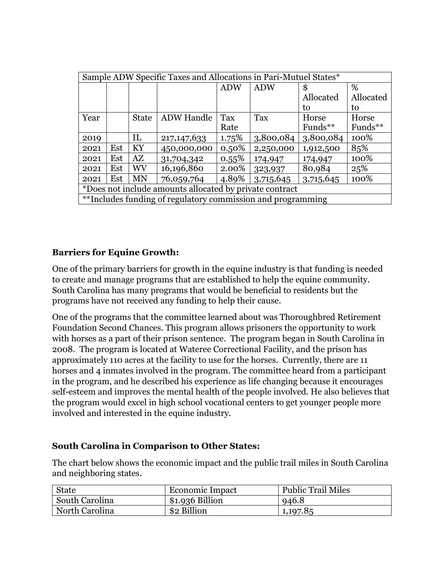| Sample ADW Specific Taxes and Allocations in Pari-Mutuel States* |     |              |                   |            |            |            |           |
|------------------------------------------------------------------|-----|--------------|-------------------|------------|------------|------------|-----------|
|                                                                  |     |              |                   | <b>ADW</b> | <b>ADW</b> | \$         | %         |
|                                                                  |     |              |                   |            |            | Allocated  | Allocated |
|                                                                  |     |              |                   |            |            | to         | to        |
| Year                                                             |     | <b>State</b> | <b>ADW</b> Handle | Tax        | Tax        | Horse      | Horse     |
|                                                                  |     |              |                   | Rate       |            | Funds $**$ | Funds**   |
| 2019                                                             |     | IL           | 217, 147, 633     | 1.75%      | 3,800,084  | 3,800,084  | 100%      |
| 2021                                                             | Est | KY           | 450,000,000       | $0.50\%$   | 2,250,000  | 1,912,500  | 85%       |
| 2021                                                             | Est | AZ           | 31,704,342        | $0.55\%$   | 174,947    | 174,947    | 100%      |
| 2021                                                             | Est | WV           | 16,196,860        | 2.00%      | 323,937    | 80,984     | 25%       |
| 2021                                                             | Est | MN           | 76,059,764        | 4.89%      | 3,715,645  | 3,715,645  | 100%      |
| *Does not include amounts allocated by private contract          |     |              |                   |            |            |            |           |
| **Includes funding of regulatory commission and programming      |     |              |                   |            |            |            |           |

# **Barriers for Equine Growth:**

One of the primary barriers for growth in the equine industry is that funding is needed to create and manage programs that are established to help the equine community. South Carolina has many programs that would be beneficial to residents but the programs have not received any funding to help their cause.

One of the programs that the committee learned about was Thoroughbred Retirement Foundation Second Chances. This program allows prisoners the opportunity to work with horses as a part of their prison sentence. The program began in South Carolina in 2008. The program is located at Wateree Correctional Facility, and the prison has approximately 110 acres at the facility to use for the horses. Currently, there are 11 horses and 4 inmates involved in the program. The committee heard from a participant in the program, and he described his experience as life changing because it encourages self-esteem and improves the mental health of the people involved. He also believes that the program would excel in high school vocational centers to get younger people more involved and interested in the equine industry.

# **South Carolina in Comparison to Other States:**

The chart below shows the economic impact and the public trail miles in South Carolina and neighboring states.

| <b>State</b>   | Economic Impact  | <b>Public Trail Miles</b> |
|----------------|------------------|---------------------------|
| South Carolina | $$1.936$ Billion | 946.8                     |
| North Carolina | \$2 Billion      | 1,197.85                  |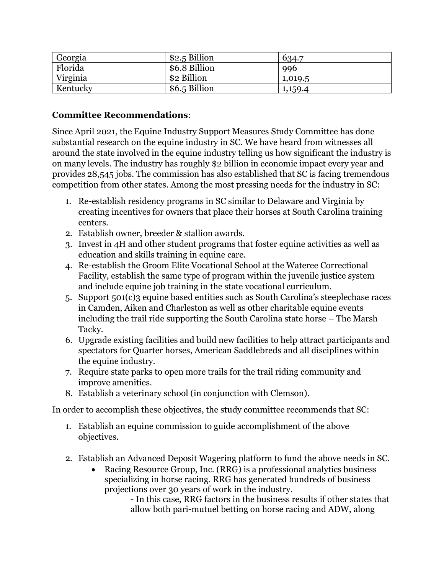| Georgia  | \$2.5 Billion | 634.7   |
|----------|---------------|---------|
| Florida  | \$6.8 Billion | 996     |
| Virginia | \$2 Billion   | 1,019.5 |
| Kentucky | \$6.5 Billion | 1,159.4 |

# **Committee Recommendations**:

Since April 2021, the Equine Industry Support Measures Study Committee has done substantial research on the equine industry in SC. We have heard from witnesses all around the state involved in the equine industry telling us how significant the industry is on many levels. The industry has roughly \$2 billion in economic impact every year and provides 28,545 jobs. The commission has also established that SC is facing tremendous competition from other states. Among the most pressing needs for the industry in SC:

- 1. Re-establish residency programs in SC similar to Delaware and Virginia by creating incentives for owners that place their horses at South Carolina training centers.
- 2. Establish owner, breeder & stallion awards.
- 3. Invest in 4H and other student programs that foster equine activities as well as education and skills training in equine care.
- 4. Re-establish the Groom Elite Vocational School at the Wateree Correctional Facility, establish the same type of program within the juvenile justice system and include equine job training in the state vocational curriculum.
- 5. Support 501(c)3 equine based entities such as South Carolina's steeplechase races in Camden, Aiken and Charleston as well as other charitable equine events including the trail ride supporting the South Carolina state horse – The Marsh Tacky.
- 6. Upgrade existing facilities and build new facilities to help attract participants and spectators for Quarter horses, American Saddlebreds and all disciplines within the equine industry.
- 7. Require state parks to open more trails for the trail riding community and improve amenities.
- 8. Establish a veterinary school (in conjunction with Clemson).

In order to accomplish these objectives, the study committee recommends that SC:

- 1. Establish an equine commission to guide accomplishment of the above objectives.
- 2. Establish an Advanced Deposit Wagering platform to fund the above needs in SC.
	- Racing Resource Group, Inc. (RRG) is a professional analytics business specializing in horse racing. RRG has generated hundreds of business projections over 30 years of work in the industry.

- In this case, RRG factors in the business results if other states that allow both pari-mutuel betting on horse racing and ADW, along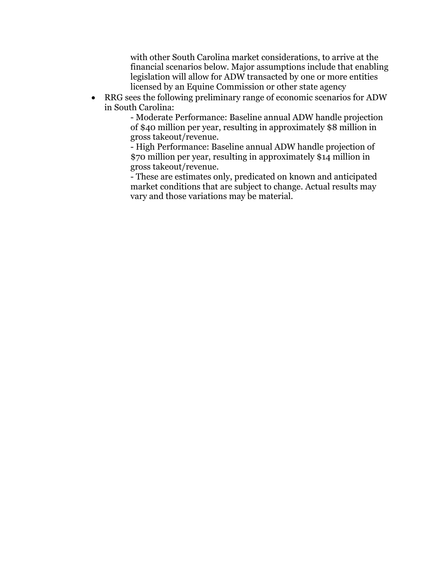with other South Carolina market considerations, to arrive at the financial scenarios below. Major assumptions include that enabling legislation will allow for ADW transacted by one or more entities licensed by an Equine Commission or other state agency

 RRG sees the following preliminary range of economic scenarios for ADW in South Carolina:

- Moderate Performance: Baseline annual ADW handle projection of \$40 million per year, resulting in approximately \$8 million in gross takeout/revenue.

- High Performance: Baseline annual ADW handle projection of \$70 million per year, resulting in approximately \$14 million in gross takeout/revenue.

- These are estimates only, predicated on known and anticipated market conditions that are subject to change. Actual results may vary and those variations may be material.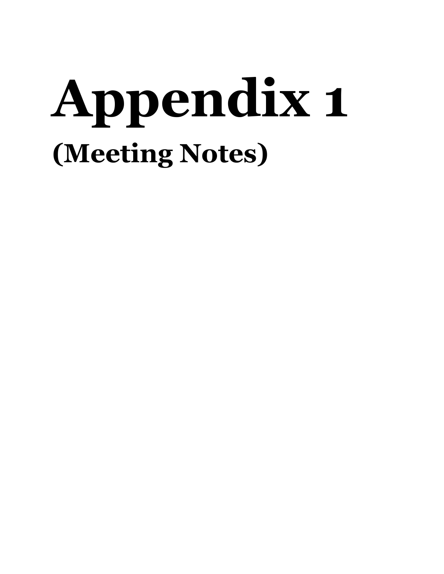# **Appendix 1 (Meeting Notes)**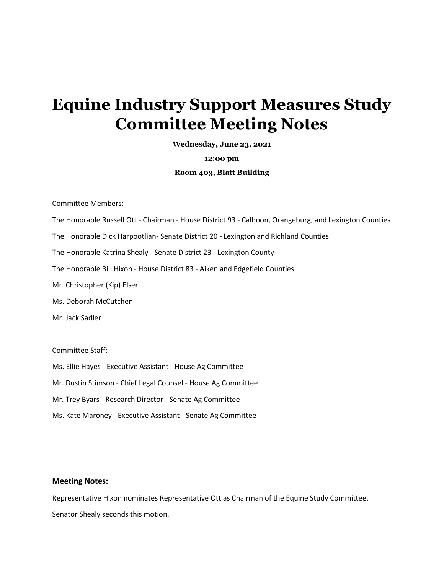# **Equine Industry Support Measures Study Committee Meeting Notes**

**Wednesday, June 23, 2021**

**12:00 pm**

#### **Room 403, Blatt Building**

Committee Members:

The Honorable Russell Ott - Chairman - House District 93 - Calhoon, Orangeburg, and Lexington Counties

The Honorable Dick Harpootlian- Senate District 20 - Lexington and Richland Counties

The Honorable Katrina Shealy - Senate District 23 - Lexington County

The Honorable Bill Hixon - House District 83 - Aiken and Edgefield Counties

Mr. Christopher (Kip) Elser

Ms. Deborah McCutchen

Mr. Jack Sadler

Committee Staff:

Ms. Ellie Hayes - Executive Assistant - House Ag Committee

Mr. Dustin Stimson - Chief Legal Counsel - House Ag Committee

Mr. Trey Byars - Research Director - Senate Ag Committee

Ms. Kate Maroney - Executive Assistant - Senate Ag Committee

#### **Meeting Notes:**

Representative Hixon nominates Representative Ott as Chairman of the Equine Study Committee. Senator Shealy seconds this motion.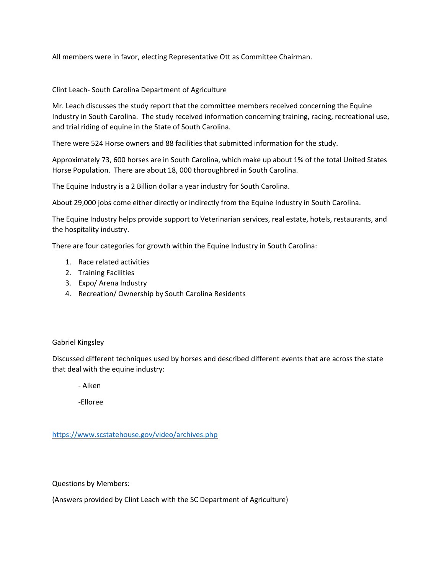All members were in favor, electing Representative Ott as Committee Chairman.

Clint Leach- South Carolina Department of Agriculture

Mr. Leach discusses the study report that the committee members received concerning the Equine Industry in South Carolina. The study received information concerning training, racing, recreational use, and trial riding of equine in the State of South Carolina.

There were 524 Horse owners and 88 facilities that submitted information for the study.

Approximately 73, 600 horses are in South Carolina, which make up about 1% of the total United States Horse Population. There are about 18, 000 thoroughbred in South Carolina.

The Equine Industry is a 2 Billion dollar a year industry for South Carolina.

About 29,000 jobs come either directly or indirectly from the Equine Industry in South Carolina.

The Equine Industry helps provide support to Veterinarian services, real estate, hotels, restaurants, and the hospitality industry.

There are four categories for growth within the Equine Industry in South Carolina:

- 1. Race related activities
- 2. Training Facilities
- 3. Expo/ Arena Industry
- 4. Recreation/ Ownership by South Carolina Residents

#### Gabriel Kingsley

Discussed different techniques used by horses and described different events that are across the state that deal with the equine industry:

- Aiken

-Elloree

<https://www.scstatehouse.gov/video/archives.php>

Questions by Members:

(Answers provided by Clint Leach with the SC Department of Agriculture)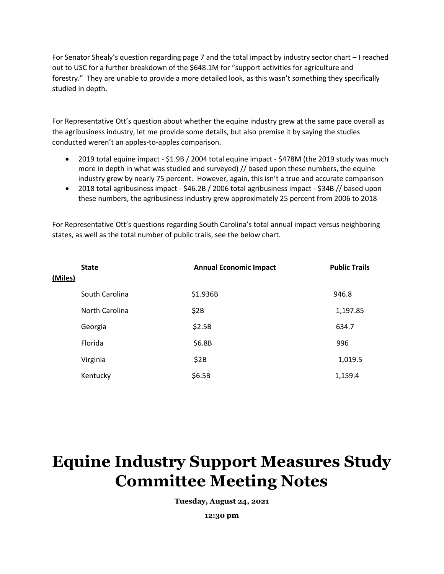For Senator Shealy's question regarding page 7 and the total impact by industry sector chart – I reached out to USC for a further breakdown of the \$648.1M for "support activities for agriculture and forestry." They are unable to provide a more detailed look, as this wasn't something they specifically studied in depth.

For Representative Ott's question about whether the equine industry grew at the same pace overall as the agribusiness industry, let me provide some details, but also premise it by saying the studies conducted weren't an apples-to-apples comparison.

- 2019 total equine impact \$1.9B / 2004 total equine impact \$478M (the 2019 study was much more in depth in what was studied and surveyed) // based upon these numbers, the equine industry grew by nearly 75 percent. However, again, this isn't a true and accurate comparison
- 2018 total agribusiness impact \$46.2B / 2006 total agribusiness impact \$34B // based upon these numbers, the agribusiness industry grew approximately 25 percent from 2006 to 2018

For Representative Ott's questions regarding South Carolina's total annual impact versus neighboring states, as well as the total number of public trails, see the below chart.

|         | <b>State</b>   | <b>Annual Economic Impact</b> | <b>Public Trails</b> |
|---------|----------------|-------------------------------|----------------------|
| (Miles) |                |                               |                      |
|         | South Carolina | \$1.936B                      | 946.8                |
|         | North Carolina | \$2B                          | 1,197.85             |
|         | Georgia        | \$2.5B                        | 634.7                |
|         | Florida        | \$6.8B                        | 996                  |
|         | Virginia       | \$2B                          | 1,019.5              |
|         | Kentucky       | \$6.5B                        | 1,159.4              |

# **Equine Industry Support Measures Study Committee Meeting Notes**

**Tuesday, August 24, 2021**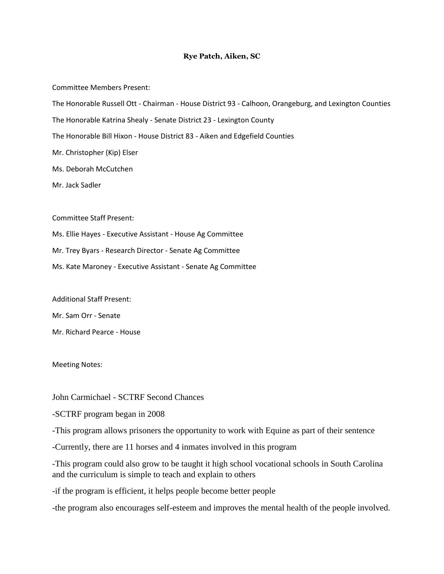#### **Rye Patch, Aiken, SC**

Committee Members Present:

The Honorable Russell Ott - Chairman - House District 93 - Calhoon, Orangeburg, and Lexington Counties

The Honorable Katrina Shealy - Senate District 23 - Lexington County

The Honorable Bill Hixon - House District 83 - Aiken and Edgefield Counties

Mr. Christopher (Kip) Elser

Ms. Deborah McCutchen

Mr. Jack Sadler

Committee Staff Present:

Ms. Ellie Hayes - Executive Assistant - House Ag Committee

Mr. Trey Byars - Research Director - Senate Ag Committee

Ms. Kate Maroney - Executive Assistant - Senate Ag Committee

Additional Staff Present:

Mr. Sam Orr - Senate

Mr. Richard Pearce - House

Meeting Notes:

John Carmichael - SCTRF Second Chances

-SCTRF program began in 2008

-This program allows prisoners the opportunity to work with Equine as part of their sentence

-Currently, there are 11 horses and 4 inmates involved in this program

-This program could also grow to be taught it high school vocational schools in South Carolina and the curriculum is simple to teach and explain to others

-if the program is efficient, it helps people become better people

-the program also encourages self-esteem and improves the mental health of the people involved.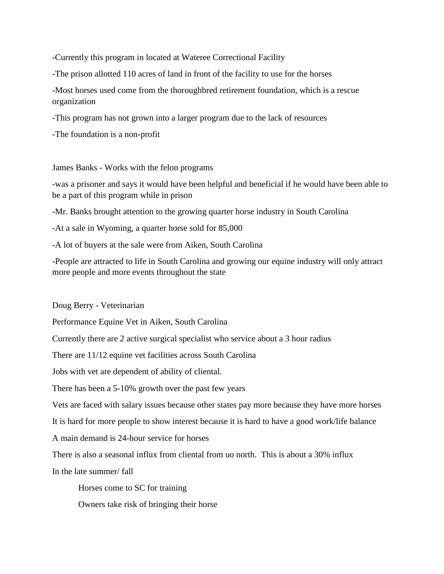-Currently this program in located at Wateree Correctional Facility

-The prison allotted 110 acres of land in front of the facility to use for the horses

-Most horses used come from the thoroughbred retirement foundation, which is a rescue organization

-This program has not grown into a larger program due to the lack of resources

-The foundation is a non-profit

James Banks - Works with the felon programs

-was a prisoner and says it would have been helpful and beneficial if he would have been able to be a part of this program while in prison

-Mr. Banks brought attention to the growing quarter horse industry in South Carolina

-At a sale in Wyoming, a quarter horse sold for 85,000

-A lot of buyers at the sale were from Aiken, South Carolina

-People are attracted to life in South Carolina and growing our equine industry will only attract more people and more events throughout the state

Doug Berry - Veterinarian

Performance Equine Vet in Aiken, South Carolina

Currently there are 2 active surgical specialist who service about a 3 hour radius

There are 11/12 equine vet facilities across South Carolina

Jobs with vet are dependent of ability of cliental.

There has been a 5-10% growth over the past few years

Vets are faced with salary issues because other states pay more because they have more horses

It is hard for more people to show interest because it is hard to have a good work/life balance

A main demand is 24-hour service for horses

There is also a seasonal influx from cliental from uo north. This is about a 30% influx

In the late summer/ fall

Horses come to SC for training

Owners take risk of bringing their horse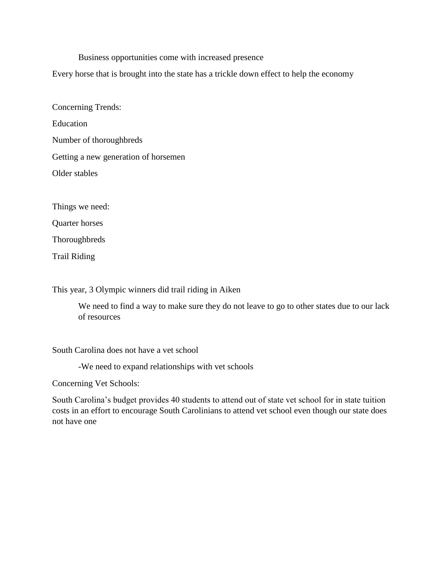Business opportunities come with increased presence

Every horse that is brought into the state has a trickle down effect to help the economy

Concerning Trends: Education Number of thoroughbreds Getting a new generation of horsemen Older stables

Things we need:

Quarter horses

**Thoroughbreds** 

Trail Riding

This year, 3 Olympic winners did trail riding in Aiken

We need to find a way to make sure they do not leave to go to other states due to our lack of resources

South Carolina does not have a vet school

-We need to expand relationships with vet schools

Concerning Vet Schools:

South Carolina's budget provides 40 students to attend out of state vet school for in state tuition costs in an effort to encourage South Carolinians to attend vet school even though our state does not have one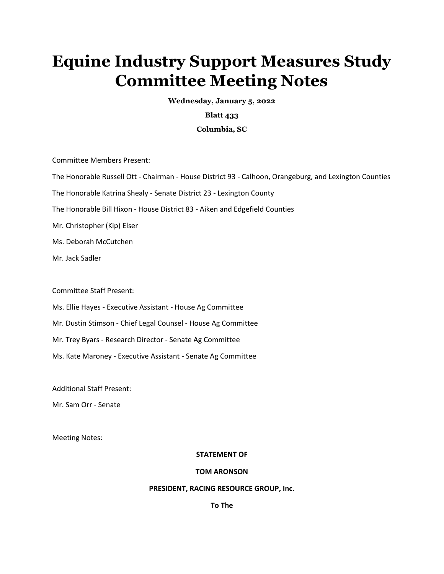# **Equine Industry Support Measures Study Committee Meeting Notes**

**Wednesday, January 5, 2022** 

## **Blatt 433**

#### **Columbia, SC**

Committee Members Present:

The Honorable Russell Ott - Chairman - House District 93 - Calhoon, Orangeburg, and Lexington Counties

The Honorable Katrina Shealy - Senate District 23 - Lexington County

The Honorable Bill Hixon - House District 83 - Aiken and Edgefield Counties

Mr. Christopher (Kip) Elser

Ms. Deborah McCutchen

Mr. Jack Sadler

Committee Staff Present:

Ms. Ellie Hayes - Executive Assistant - House Ag Committee

Mr. Dustin Stimson - Chief Legal Counsel - House Ag Committee

Mr. Trey Byars - Research Director - Senate Ag Committee

Ms. Kate Maroney - Executive Assistant - Senate Ag Committee

Additional Staff Present:

Mr. Sam Orr - Senate

Meeting Notes:

#### **STATEMENT OF**

#### **TOM ARONSON**

#### **PRESIDENT, RACING RESOURCE GROUP, Inc.**

**To The**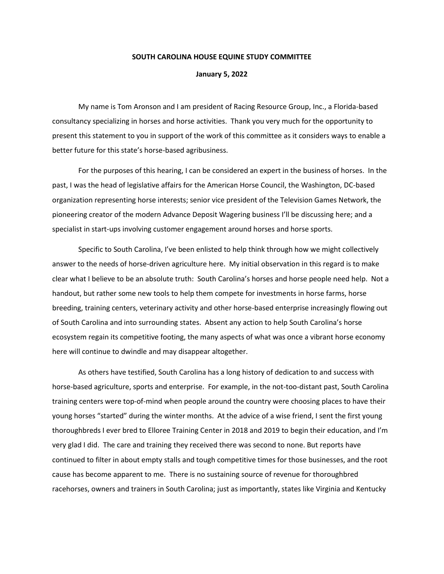#### **SOUTH CAROLINA HOUSE EQUINE STUDY COMMITTEE**

#### **January 5, 2022**

My name is Tom Aronson and I am president of Racing Resource Group, Inc., a Florida-based consultancy specializing in horses and horse activities. Thank you very much for the opportunity to present this statement to you in support of the work of this committee as it considers ways to enable a better future for this state's horse-based agribusiness.

For the purposes of this hearing, I can be considered an expert in the business of horses. In the past, I was the head of legislative affairs for the American Horse Council, the Washington, DC-based organization representing horse interests; senior vice president of the Television Games Network, the pioneering creator of the modern Advance Deposit Wagering business I'll be discussing here; and a specialist in start-ups involving customer engagement around horses and horse sports.

Specific to South Carolina, I've been enlisted to help think through how we might collectively answer to the needs of horse-driven agriculture here. My initial observation in this regard is to make clear what I believe to be an absolute truth: South Carolina's horses and horse people need help. Not a handout, but rather some new tools to help them compete for investments in horse farms, horse breeding, training centers, veterinary activity and other horse-based enterprise increasingly flowing out of South Carolina and into surrounding states. Absent any action to help South Carolina's horse ecosystem regain its competitive footing, the many aspects of what was once a vibrant horse economy here will continue to dwindle and may disappear altogether.

As others have testified, South Carolina has a long history of dedication to and success with horse-based agriculture, sports and enterprise. For example, in the not-too-distant past, South Carolina training centers were top-of-mind when people around the country were choosing places to have their young horses "started" during the winter months. At the advice of a wise friend, I sent the first young thoroughbreds I ever bred to Elloree Training Center in 2018 and 2019 to begin their education, and I'm very glad I did. The care and training they received there was second to none. But reports have continued to filter in about empty stalls and tough competitive times for those businesses, and the root cause has become apparent to me. There is no sustaining source of revenue for thoroughbred racehorses, owners and trainers in South Carolina; just as importantly, states like Virginia and Kentucky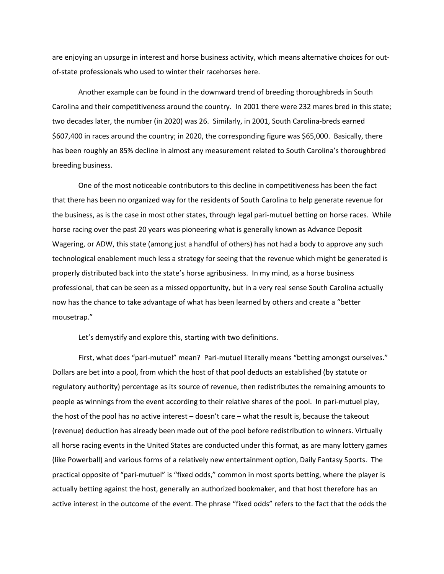are enjoying an upsurge in interest and horse business activity, which means alternative choices for outof-state professionals who used to winter their racehorses here.

Another example can be found in the downward trend of breeding thoroughbreds in South Carolina and their competitiveness around the country. In 2001 there were 232 mares bred in this state; two decades later, the number (in 2020) was 26. Similarly, in 2001, South Carolina-breds earned \$607,400 in races around the country; in 2020, the corresponding figure was \$65,000. Basically, there has been roughly an 85% decline in almost any measurement related to South Carolina's thoroughbred breeding business.

One of the most noticeable contributors to this decline in competitiveness has been the fact that there has been no organized way for the residents of South Carolina to help generate revenue for the business, as is the case in most other states, through legal pari-mutuel betting on horse races. While horse racing over the past 20 years was pioneering what is generally known as Advance Deposit Wagering, or ADW, this state (among just a handful of others) has not had a body to approve any such technological enablement much less a strategy for seeing that the revenue which might be generated is properly distributed back into the state's horse agribusiness. In my mind, as a horse business professional, that can be seen as a missed opportunity, but in a very real sense South Carolina actually now has the chance to take advantage of what has been learned by others and create a "better mousetrap."

Let's demystify and explore this, starting with two definitions.

First, what does "pari-mutuel" mean? Pari-mutuel literally means "betting amongst ourselves." Dollars are bet into a pool, from which the host of that pool deducts an established (by statute or regulatory authority) percentage as its source of revenue, then redistributes the remaining amounts to people as winnings from the event according to their relative shares of the pool. In pari-mutuel play, the host of the pool has no active interest – doesn't care – what the result is, because the takeout (revenue) deduction has already been made out of the pool before redistribution to winners. Virtually all horse racing events in the United States are conducted under this format, as are many lottery games (like Powerball) and various forms of a relatively new entertainment option, Daily Fantasy Sports. The practical opposite of "pari-mutuel" is "fixed odds," common in most sports betting, where the player is actually betting against the host, generally an authorized bookmaker, and that host therefore has an active interest in the outcome of the event. The phrase "fixed odds" refers to the fact that the odds the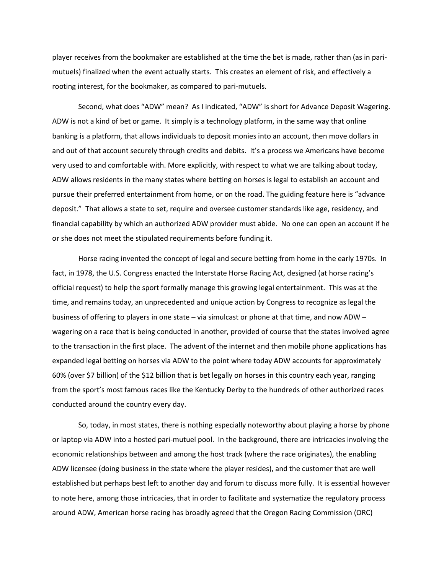player receives from the bookmaker are established at the time the bet is made, rather than (as in parimutuels) finalized when the event actually starts. This creates an element of risk, and effectively a rooting interest, for the bookmaker, as compared to pari-mutuels.

Second, what does "ADW" mean? As I indicated, "ADW" is short for Advance Deposit Wagering. ADW is not a kind of bet or game. It simply is a technology platform, in the same way that online banking is a platform, that allows individuals to deposit monies into an account, then move dollars in and out of that account securely through credits and debits. It's a process we Americans have become very used to and comfortable with. More explicitly, with respect to what we are talking about today, ADW allows residents in the many states where betting on horses is legal to establish an account and pursue their preferred entertainment from home, or on the road. The guiding feature here is "advance deposit." That allows a state to set, require and oversee customer standards like age, residency, and financial capability by which an authorized ADW provider must abide. No one can open an account if he or she does not meet the stipulated requirements before funding it.

Horse racing invented the concept of legal and secure betting from home in the early 1970s. In fact, in 1978, the U.S. Congress enacted the Interstate Horse Racing Act, designed (at horse racing's official request) to help the sport formally manage this growing legal entertainment. This was at the time, and remains today, an unprecedented and unique action by Congress to recognize as legal the business of offering to players in one state – via simulcast or phone at that time, and now ADW – wagering on a race that is being conducted in another, provided of course that the states involved agree to the transaction in the first place. The advent of the internet and then mobile phone applications has expanded legal betting on horses via ADW to the point where today ADW accounts for approximately 60% (over \$7 billion) of the \$12 billion that is bet legally on horses in this country each year, ranging from the sport's most famous races like the Kentucky Derby to the hundreds of other authorized races conducted around the country every day.

So, today, in most states, there is nothing especially noteworthy about playing a horse by phone or laptop via ADW into a hosted pari-mutuel pool. In the background, there are intricacies involving the economic relationships between and among the host track (where the race originates), the enabling ADW licensee (doing business in the state where the player resides), and the customer that are well established but perhaps best left to another day and forum to discuss more fully. It is essential however to note here, among those intricacies, that in order to facilitate and systematize the regulatory process around ADW, American horse racing has broadly agreed that the Oregon Racing Commission (ORC)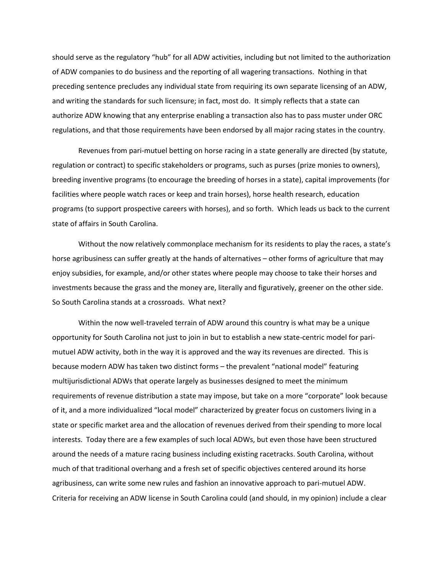should serve as the regulatory "hub" for all ADW activities, including but not limited to the authorization of ADW companies to do business and the reporting of all wagering transactions. Nothing in that preceding sentence precludes any individual state from requiring its own separate licensing of an ADW, and writing the standards for such licensure; in fact, most do. It simply reflects that a state can authorize ADW knowing that any enterprise enabling a transaction also has to pass muster under ORC regulations, and that those requirements have been endorsed by all major racing states in the country.

Revenues from pari-mutuel betting on horse racing in a state generally are directed (by statute, regulation or contract) to specific stakeholders or programs, such as purses (prize monies to owners), breeding inventive programs (to encourage the breeding of horses in a state), capital improvements (for facilities where people watch races or keep and train horses), horse health research, education programs (to support prospective careers with horses), and so forth. Which leads us back to the current state of affairs in South Carolina.

Without the now relatively commonplace mechanism for its residents to play the races, a state's horse agribusiness can suffer greatly at the hands of alternatives – other forms of agriculture that may enjoy subsidies, for example, and/or other states where people may choose to take their horses and investments because the grass and the money are, literally and figuratively, greener on the other side. So South Carolina stands at a crossroads. What next?

Within the now well-traveled terrain of ADW around this country is what may be a unique opportunity for South Carolina not just to join in but to establish a new state-centric model for parimutuel ADW activity, both in the way it is approved and the way its revenues are directed. This is because modern ADW has taken two distinct forms – the prevalent "national model" featuring multijurisdictional ADWs that operate largely as businesses designed to meet the minimum requirements of revenue distribution a state may impose, but take on a more "corporate" look because of it, and a more individualized "local model" characterized by greater focus on customers living in a state or specific market area and the allocation of revenues derived from their spending to more local interests. Today there are a few examples of such local ADWs, but even those have been structured around the needs of a mature racing business including existing racetracks. South Carolina, without much of that traditional overhang and a fresh set of specific objectives centered around its horse agribusiness, can write some new rules and fashion an innovative approach to pari-mutuel ADW. Criteria for receiving an ADW license in South Carolina could (and should, in my opinion) include a clear